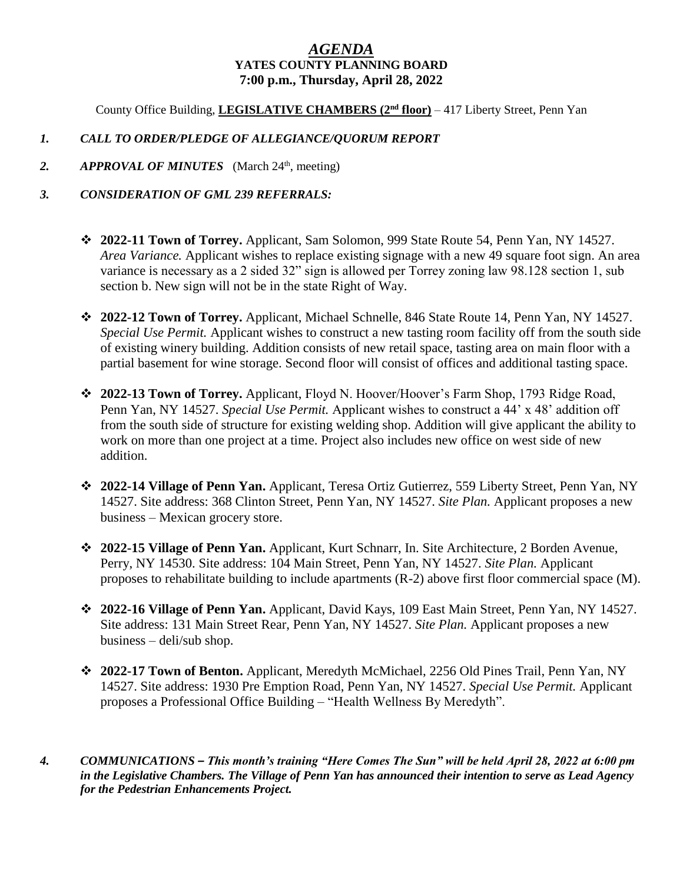## *AGENDA* **YATES COUNTY PLANNING BOARD 7:00 p.m., Thursday, April 28, 2022**

County Office Building, **LEGISLATIVE CHAMBERS (2 nd floor)** – 417 Liberty Street, Penn Yan

## *1. CALL TO ORDER/PLEDGE OF ALLEGIANCE/QUORUM REPORT*

2. *APPROVAL OF MINUTES* (March 24<sup>th</sup>, meeting)

## *3. CONSIDERATION OF GML 239 REFERRALS:*

- **2022-11 Town of Torrey.** Applicant, Sam Solomon, 999 State Route 54, Penn Yan, NY 14527. *Area Variance.* Applicant wishes to replace existing signage with a new 49 square foot sign. An area variance is necessary as a 2 sided 32" sign is allowed per Torrey zoning law 98.128 section 1, sub section b. New sign will not be in the state Right of Way.
- **2022-12 Town of Torrey.** Applicant, Michael Schnelle, 846 State Route 14, Penn Yan, NY 14527. *Special Use Permit.* Applicant wishes to construct a new tasting room facility off from the south side of existing winery building. Addition consists of new retail space, tasting area on main floor with a partial basement for wine storage. Second floor will consist of offices and additional tasting space.
- **2022-13 Town of Torrey.** Applicant, Floyd N. Hoover/Hoover's Farm Shop, 1793 Ridge Road, Penn Yan, NY 14527. *Special Use Permit.* Applicant wishes to construct a 44' x 48' addition off from the south side of structure for existing welding shop. Addition will give applicant the ability to work on more than one project at a time. Project also includes new office on west side of new addition.
- **2022-14 Village of Penn Yan.** Applicant, Teresa Ortiz Gutierrez, 559 Liberty Street, Penn Yan, NY 14527. Site address: 368 Clinton Street, Penn Yan, NY 14527. *Site Plan.* Applicant proposes a new business – Mexican grocery store.
- **2022-15 Village of Penn Yan.** Applicant, Kurt Schnarr, In. Site Architecture, 2 Borden Avenue, Perry, NY 14530. Site address: 104 Main Street, Penn Yan, NY 14527. *Site Plan.* Applicant proposes to rehabilitate building to include apartments (R-2) above first floor commercial space (M).
- **2022-16 Village of Penn Yan.** Applicant, David Kays, 109 East Main Street, Penn Yan, NY 14527. Site address: 131 Main Street Rear, Penn Yan, NY 14527. *Site Plan.* Applicant proposes a new business – deli/sub shop.
- **2022-17 Town of Benton.** Applicant, Meredyth McMichael, 2256 Old Pines Trail, Penn Yan, NY 14527. Site address: 1930 Pre Emption Road, Penn Yan, NY 14527. *Special Use Permit.* Applicant proposes a Professional Office Building – "Health Wellness By Meredyth".
- *4. COMMUNICATIONS – This month's training "Here Comes The Sun" will be held April 28, 2022 at 6:00 pm in the Legislative Chambers. The Village of Penn Yan has announced their intention to serve as Lead Agency for the Pedestrian Enhancements Project.*